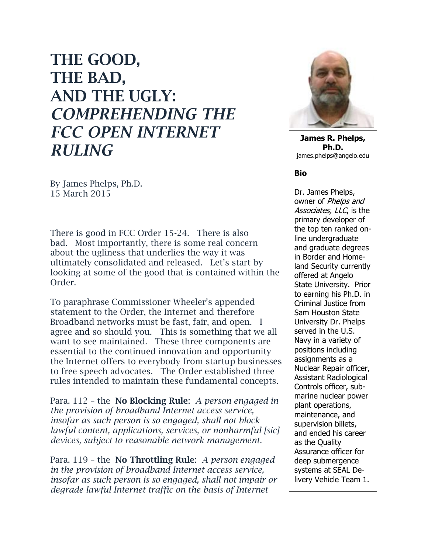## **THE GOOD, THE BAD, AND THE UGLY:**  *COMPREHENDING THE FCC OPEN INTERNET RULING*

By James Phelps, Ph.D. 15 March 2015

There is good in FCC Order 15-24. There is also bad. Most importantly, there is some real concern about the ugliness that underlies the way it was ultimately consolidated and released. Let's start by looking at some of the good that is contained within the Order.

To paraphrase Commissioner Wheeler's appended statement to the Order, the Internet and therefore Broadband networks must be fast, fair, and open. I agree and so should you. This is something that we all want to see maintained. These three components are essential to the continued innovation and opportunity the Internet offers to everybody from startup businesses to free speech advocates. The Order established three rules intended to maintain these fundamental concepts.

Para. 112 – the **No Blocking Rule**: *A person engaged in the provision of broadband Internet access service, insofar as such person is so engaged, shall not block lawful content, applications, services, or nonharmful [sic] devices, subject to reasonable network management.*

Para. 119 – the **No Throttling Rule**: *A person engaged in the provision of broadband Internet access service, insofar as such person is so engaged, shall not impair or degrade lawful Internet traffic on the basis of Internet* 



**James R. Phelps, Ph.D.** james.phelps@angelo.edu

## **Bio**

Dr. James Phelps, owner of Phelps and Associates, LLC, is the primary developer of the top ten ranked online undergraduate and graduate degrees in Border and Homeland Security currently offered at Angelo State University. Prior to earning his Ph.D. in Criminal Justice from Sam Houston State University Dr. Phelps served in the U.S. Navy in a variety of positions including assignments as a Nuclear Repair officer, Assistant Radiological Controls officer, submarine nuclear power plant operations, maintenance, and supervision billets, and ended his career as the Quality Assurance officer for deep submergence systems at SEAL Delivery Vehicle Team 1.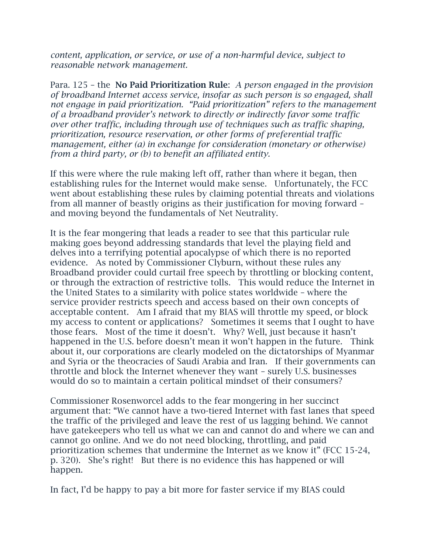*content, application, or service, or use of a non-harmful device, subject to reasonable network management.*

Para. 125 – the **No Paid Prioritization Rule**: *A person engaged in the provision of broadband Internet access service, insofar as such person is so engaged, shall not engage in paid prioritization. "Paid prioritization" refers to the management of a broadband provider's network to directly or indirectly favor some traffic over other traffic, including through use of techniques such as traffic shaping, prioritization, resource reservation, or other forms of preferential traffic management, either (a) in exchange for consideration (monetary or otherwise) from a third party, or (b) to benefit an affiliated entity.*

If this were where the rule making left off, rather than where it began, then establishing rules for the Internet would make sense. Unfortunately, the FCC went about establishing these rules by claiming potential threats and violations from all manner of beastly origins as their justification for moving forward – and moving beyond the fundamentals of Net Neutrality.

It is the fear mongering that leads a reader to see that this particular rule making goes beyond addressing standards that level the playing field and delves into a terrifying potential apocalypse of which there is no reported evidence. As noted by Commissioner Clyburn, without these rules any Broadband provider could curtail free speech by throttling or blocking content, or through the extraction of restrictive tolls. This would reduce the Internet in the United States to a similarity with police states worldwide – where the service provider restricts speech and access based on their own concepts of acceptable content. Am I afraid that my BIAS will throttle my speed, or block my access to content or applications? Sometimes it seems that I ought to have those fears. Most of the time it doesn't. Why? Well, just because it hasn't happened in the U.S. before doesn't mean it won't happen in the future. Think about it, our corporations are clearly modeled on the dictatorships of Myanmar and Syria or the theocracies of Saudi Arabia and Iran. If their governments can throttle and block the Internet whenever they want – surely U.S. businesses would do so to maintain a certain political mindset of their consumers?

Commissioner Rosenworcel adds to the fear mongering in her succinct argument that: "We cannot have a two-tiered Internet with fast lanes that speed the traffic of the privileged and leave the rest of us lagging behind. We cannot have gatekeepers who tell us what we can and cannot do and where we can and cannot go online. And we do not need blocking, throttling, and paid prioritization schemes that undermine the Internet as we know it" (FCC 15-24, p. 320). She's right! But there is no evidence this has happened or will happen.

In fact, I'd be happy to pay a bit more for faster service if my BIAS could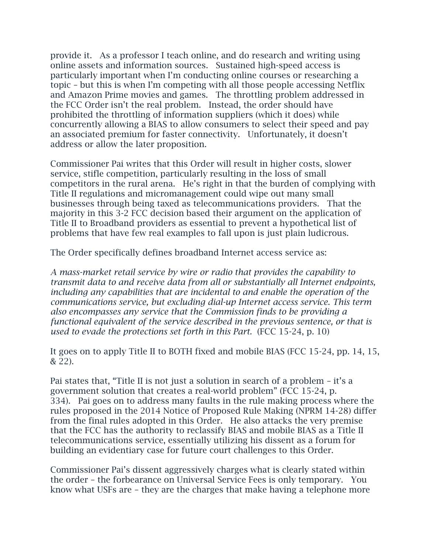provide it. As a professor I teach online, and do research and writing using online assets and information sources. Sustained high-speed access is particularly important when I'm conducting online courses or researching a topic – but this is when I'm competing with all those people accessing Netflix and Amazon Prime movies and games. The throttling problem addressed in the FCC Order isn't the real problem. Instead, the order should have prohibited the throttling of information suppliers (which it does) while concurrently allowing a BIAS to allow consumers to select their speed and pay an associated premium for faster connectivity. Unfortunately, it doesn't address or allow the later proposition.

Commissioner Pai writes that this Order will result in higher costs, slower service, stifle competition, particularly resulting in the loss of small competitors in the rural arena. He's right in that the burden of complying with Title II regulations and micromanagement could wipe out many small businesses through being taxed as telecommunications providers. That the majority in this 3-2 FCC decision based their argument on the application of Title II to Broadband providers as essential to prevent a hypothetical list of problems that have few real examples to fall upon is just plain ludicrous.

The Order specifically defines broadband Internet access service as:

*A mass-market retail service by wire or radio that provides the capability to transmit data to and receive data from all or substantially all Internet endpoints, including any capabilities that are incidental to and enable the operation of the communications service, but excluding dial-up Internet access service. This term also encompasses any service that the Commission finds to be providing a functional equivalent of the service described in the previous sentence, or that is used to evade the protections set forth in this Part.* (FCC 15-24, p. 10)

It goes on to apply Title II to BOTH fixed and mobile BIAS (FCC 15-24, pp. 14, 15, & 22).

Pai states that, "Title II is not just a solution in search of a problem – it's a government solution that creates a real-world problem" (FCC 15-24, p. 334). Pai goes on to address many faults in the rule making process where the rules proposed in the 2014 Notice of Proposed Rule Making (NPRM 14-28) differ from the final rules adopted in this Order. He also attacks the very premise that the FCC has the authority to reclassify BIAS and mobile BIAS as a Title II telecommunications service, essentially utilizing his dissent as a forum for building an evidentiary case for future court challenges to this Order.

Commissioner Pai's dissent aggressively charges what is clearly stated within the order – the forbearance on Universal Service Fees is only temporary. You know what USFs are – they are the charges that make having a telephone more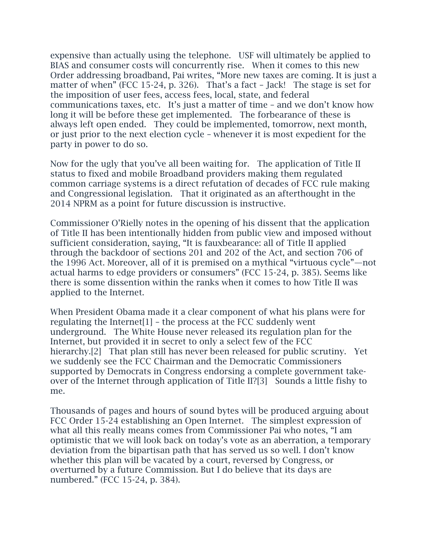expensive than actually using the telephone. USF will ultimately be applied to BIAS and consumer costs will concurrently rise. When it comes to this new Order addressing broadband, Pai writes, "More new taxes are coming. It is just a matter of when" (FCC 15-24, p. 326). That's a fact – Jack! The stage is set for the imposition of user fees, access fees, local, state, and federal communications taxes, etc. It's just a matter of time – and we don't know how long it will be before these get implemented. The forbearance of these is always left open ended. They could be implemented, tomorrow, next month, or just prior to the next election cycle – whenever it is most expedient for the party in power to do so.

Now for the ugly that you've all been waiting for. The application of Title II status to fixed and mobile Broadband providers making them regulated common carriage systems is a direct refutation of decades of FCC rule making and Congressional legislation. That it originated as an afterthought in the 2014 NPRM as a point for future discussion is instructive.

Commissioner O'Rielly notes in the opening of his dissent that the application of Title II has been intentionally hidden from public view and imposed without sufficient consideration, saying, "It is fauxbearance: all of Title II applied through the backdoor of sections 201 and 202 of the Act, and section 706 of the 1996 Act. Moreover, all of it is premised on a mythical "virtuous cycle"—not actual harms to edge providers or consumers" (FCC 15-24, p. 385). Seems like there is some dissention within the ranks when it comes to how Title II was applied to the Internet.

When President Obama made it a clear component of what his plans were for regulating the Internet  $[1]$  – the process at the FCC suddenly went underground. The White House never released its regulation plan for the Internet, but provided it in secret to only a select few of the FCC hierarchy.[2] That plan still has never been released for public scrutiny. Yet we suddenly see the FCC Chairman and the Democratic Commissioners supported by Democrats in Congress endorsing a complete government takeover of the Internet through application of Title II?[3] Sounds a little fishy to me.

Thousands of pages and hours of sound bytes will be produced arguing about FCC Order 15-24 establishing an Open Internet. The simplest expression of what all this really means comes from Commissioner Pai who notes, "I am optimistic that we will look back on today's vote as an aberration, a temporary deviation from the bipartisan path that has served us so well. I don't know whether this plan will be vacated by a court, reversed by Congress, or overturned by a future Commission. But I do believe that its days are numbered." (FCC 15-24, p. 384).